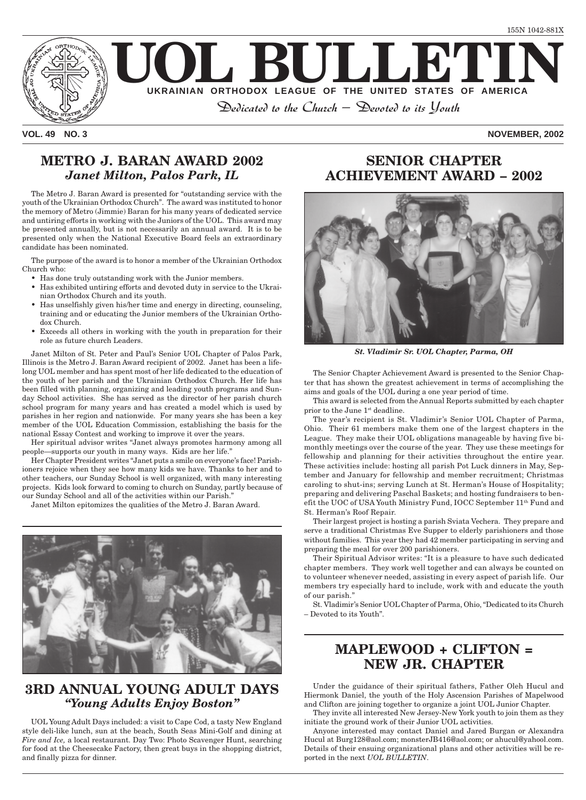

**VOL. 49 NO. 3 NOVEMBER, 2002**

### **METRO J. BARAN AWARD 2002** *Janet Milton, Palos Park, IL*

The Metro J. Baran Award is presented for "outstanding service with the youth of the Ukrainian Orthodox Church". The award was instituted to honor the memory of Metro (Jimmie) Baran for his many years of dedicated service and untiring efforts in working with the Juniors of the UOL. This award may be presented annually, but is not necessarily an annual award. It is to be presented only when the National Executive Board feels an extraordinary candidate has been nominated.

The purpose of the award is to honor a member of the Ukrainian Orthodox Church who:

- Has done truly outstanding work with the Junior members.
- Has exhibited untiring efforts and devoted duty in service to the Ukrainian Orthodox Church and its youth.
- Has unselfishly given his/her time and energy in directing, counseling, training and or educating the Junior members of the Ukrainian Orthodox Church.
- Exceeds all others in working with the youth in preparation for their role as future church Leaders.

Janet Milton of St. Peter and Paul's Senior UOL Chapter of Palos Park, Illinois is the Metro J. Baran Award recipient of 2002. Janet has been a lifelong UOL member and has spent most of her life dedicated to the education of the youth of her parish and the Ukrainian Orthodox Church. Her life has been filled with planning, organizing and leading youth programs and Sunday School activities. She has served as the director of her parish church school program for many years and has created a model which is used by parishes in her region and nationwide. For many years she has been a key member of the UOL Education Commission, establishing the basis for the national Essay Contest and working to improve it over the years.

Her spiritual advisor writes "Janet always promotes harmony among all people—supports our youth in many ways. Kids are her life."

Her Chapter President writes "Janet puts a smile on everyone's face! Parishioners rejoice when they see how many kids we have. Thanks to her and to other teachers, our Sunday School is well organized, with many interesting projects. Kids look forward to coming to church on Sunday, partly because of our Sunday School and all of the activities within our Parish."

Janet Milton epitomizes the qualities of the Metro J. Baran Award.



### **3RD ANNUAL YOUNG ADULT DAYS** *"Young Adults Enjoy Boston"*

UOL Young Adult Days included: a visit to Cape Cod, a tasty New England style deli-like lunch, sun at the beach, South Seas Mini-Golf and dining at *Fire and Ice,* a local restaurant. Day Two: Photo Scavenger Hunt, searching for food at the Cheesecake Factory, then great buys in the shopping district, and finally pizza for dinner.

# **SENIOR CHAPTER ACHIEVEMENT AWARD – 2002**



*St. Vladimir Sr. UOL Chapter, Parma, OH*

The Senior Chapter Achievement Award is presented to the Senior Chapter that has shown the greatest achievement in terms of accomplishing the aims and goals of the UOL during a one year period of time.

This award is selected from the Annual Reports submitted by each chapter prior to the June 1<sup>st</sup> deadline.

The year's recipient is St. Vladimir's Senior UOL Chapter of Parma, Ohio. Their 61 members make them one of the largest chapters in the League. They make their UOL obligations manageable by having five bimonthly meetings over the course of the year. They use these meetings for fellowship and planning for their activities throughout the entire year. These activities include: hosting all parish Pot Luck dinners in May, September and January for fellowship and member recruitment; Christmas caroling to shut-ins; serving Lunch at St. Herman's House of Hospitality; preparing and delivering Paschal Baskets; and hosting fundraisers to benefit the UOC of USA Youth Ministry Fund, IOCC September 11<sup>th</sup> Fund and St. Herman's Roof Repair.

Their largest project is hosting a parish Sviata Vechera. They prepare and serve a traditional Christmas Eve Supper to elderly parishioners and those without families. This year they had 42 member participating in serving and preparing the meal for over 200 parishioners.

Their Spiritual Advisor writes: "It is a pleasure to have such dedicated chapter members. They work well together and can always be counted on to volunteer whenever needed, assisting in every aspect of parish life. Our members try especially hard to include, work with and educate the youth of our parish."

St. Vladimir's Senior UOL Chapter of Parma, Ohio, "Dedicated to its Church – Devoted to its Youth".

## **MAPLEWOOD + CLIFTON = NEW JR. CHAPTER**

Under the guidance of their spiritual fathers, Father Oleh Hucul and Hiermonk Daniel, the youth of the Holy Ascension Parishes of Mapelwood and Clifton are joining together to organize a joint UOL Junior Chapter.

They invite all interested New Jersey-New York youth to join them as they initiate the ground work of their Junior UOL activities.

Anyone interested may contact Daniel and Jared Burgan or Alexandra Hucul at Burg128@aol.com; monsterJB416@aol.com; or ahucul@yahool.com. Details of their ensuing organizational plans and other activities will be reported in the next *UOL BULLETIN*.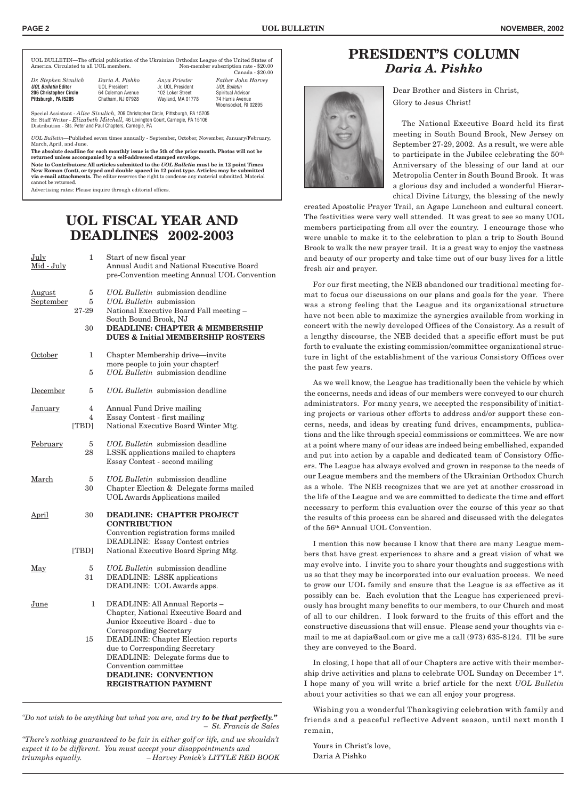*Dr. Stephen Sivulich Daria A. Pishko Anya Priester Father John Harvey* **UOL Bulletin Editor** UOL President Jr. UOL President UOL Bulletin **206 Spiritual Advisor**  $\overline{74}$  Harris Avenue Woonsocket, RJ 02895

UOL BULLETIN—The official publication of the Ukrainian Orthodox League of the United States of Non-member subscription rate - \$20.00 Canada - \$20.00

| Dr. Stephen Sivulich          | Daria A. Pishko      | Anya Priester     |
|-------------------------------|----------------------|-------------------|
| <b>UOL Bulletin Editor</b>    | <b>UOL President</b> | Jr. UOL President |
| <b>206 Christopher Circle</b> | 64 Coleman Avenue    | 102 Loker Street  |
| Pittsburgh, PA 15205          | Chatham, NJ 07928    | Wayland, MA 01778 |

Special Assistant - *Alice Sivulich,* 206 Christopher Circle, Pittsburgh, PA 15205 Sr. Staff Writer - *Elizabeth Mitchell,* 46 Lexington Court, Carnegie, PA 15106 Distribution - Sts. Peter and Paul Chapters, Carnegie, PA

*UOL Bulletin*—Published seven times annually - September, October, November, January/February, March, April, and June.

**The absolute deadline for each monthly issue is the 5th of the prior month. Photos will not be returned unless accompanied by a self-addressed stamped envelope.**

**Note to Contributors: All articles submitted to the** *UOL Bulletin* **must be in 12 point Times New Roman (font), or typed and double spaced in 12 point type. Articles may be submitted via e-mail attachments.** The editor reserves the right to condense any material submitted. Material cannot be returned.

Advertising rates: Please inquire through editorial offices.

## **UOL FISCAL YEAR AND DEADLINES 2002-2003**

| July<br>Mid - July | 1              | Start of new fiscal year<br>Annual Audit and National Executive Board<br>pre-Convention meeting Annual UOL Convention |
|--------------------|----------------|-----------------------------------------------------------------------------------------------------------------------|
| <b>August</b>      | 5              | UOL Bulletin submission deadline                                                                                      |
| <b>September</b>   | 5              | <b>UOL Bulletin</b> submission                                                                                        |
|                    | 27-29          | National Executive Board Fall meeting -<br>South Bound Brook, NJ                                                      |
|                    | 30             | <b>DEADLINE: CHAPTER &amp; MEMBERSHIP</b><br><b>DUES &amp; Initial MEMBERSHIP ROSTERS</b>                             |
| October            | 1              | Chapter Membership drive—invite                                                                                       |
|                    |                | more people to join your chapter!                                                                                     |
|                    | $\overline{5}$ | <b>UOL Bulletin</b> submission deadline                                                                               |
| December           | 5              | UOL Bulletin submission deadline                                                                                      |
| <b>January</b>     | 4              | Annual Fund Drive mailing                                                                                             |
|                    | $\overline{4}$ | Essay Contest - first mailing                                                                                         |
|                    | [TBD]          | National Executive Board Winter Mtg.                                                                                  |
| February           | 5              | <b>UOL Bulletin</b> submission deadline                                                                               |
|                    | 28             | LSSK applications mailed to chapters                                                                                  |
|                    |                | Essay Contest - second mailing                                                                                        |
| March              | 5              | <b>UOL Bulletin</b> submission deadline                                                                               |
|                    | 30             | Chapter Election & Delegate forms mailed                                                                              |
|                    |                | <b>UOL Awards Applications mailed</b>                                                                                 |
| <u>April</u>       | 30             | <b>DEADLINE: CHAPTER PROJECT</b>                                                                                      |
|                    |                | <b>CONTRIBUTION</b><br>Convention registration forms mailed                                                           |
|                    |                | <b>DEADLINE: Essay Contest entries</b>                                                                                |
|                    | [TBD]          | National Executive Board Spring Mtg.                                                                                  |
|                    |                |                                                                                                                       |
| <u>May</u>         | 5              | UOL Bulletin submission deadline                                                                                      |
|                    | 31             | DEADLINE: LSSK applications                                                                                           |
|                    |                | DEADLINE: UOL Awards apps.                                                                                            |
| June               | $\mathbf 1$    | DEADLINE: All Annual Reports -                                                                                        |
|                    |                | Chapter, National Executive Board and                                                                                 |
|                    |                | Junior Executive Board - due to                                                                                       |
|                    |                | <b>Corresponding Secretary</b>                                                                                        |
|                    | 15             | <b>DEADLINE: Chapter Election reports</b>                                                                             |
|                    |                | due to Corresponding Secretary<br>DEADLINE: Delegate forms due to                                                     |
|                    |                | Convention committee                                                                                                  |
|                    |                | <b>DEADLINE: CONVENTION</b>                                                                                           |
|                    |                | <b>REGISTRATION PAYMENT</b>                                                                                           |
|                    |                |                                                                                                                       |

*"Do not wish to be anything but what you are, and try to be that perfectly." – St. Francis de Sales*

*"There's nothing guaranteed to be fair in either golf or life, and we shouldn't expect it to be different. You must accept your disappointments and triumphs equally. – Harvey Penick's LITTLE RED BOOK*

### **PRESIDENT'S COLUMN** *Daria A. Pishko*



Dear Brother and Sisters in Christ, Glory to Jesus Christ!

The National Executive Board held its first meeting in South Bound Brook, New Jersey on September 27-29, 2002. As a result, we were able to participate in the Jubilee celebrating the  $50<sup>th</sup>$ Anniversary of the blessing of our land at our Metropolia Center in South Bound Brook. It was a glorious day and included a wonderful Hierarchical Divine Liturgy, the blessing of the newly

created Apostolic Prayer Trail, an Agape Luncheon and cultural concert. The festivities were very well attended. It was great to see so many UOL members participating from all over the country. I encourage those who were unable to make it to the celebration to plan a trip to South Bound Brook to walk the new prayer trail. It is a great way to enjoy the vastness and beauty of our property and take time out of our busy lives for a little fresh air and prayer.

For our first meeting, the NEB abandoned our traditional meeting format to focus our discussions on our plans and goals for the year. There was a strong feeling that the League and its organizational structure have not been able to maximize the synergies available from working in concert with the newly developed Offices of the Consistory. As a result of a lengthy discourse, the NEB decided that a specific effort must be put forth to evaluate the existing commission/committee organizational structure in light of the establishment of the various Consistory Offices over the past few years.

As we well know, the League has traditionally been the vehicle by which the concerns, needs and ideas of our members were conveyed to our church administrators. For many years, we accepted the responsibility of initiating projects or various other efforts to address and/or support these concerns, needs, and ideas by creating fund drives, encampments, publications and the like through special commissions or committees. We are now at a point where many of our ideas are indeed being embellished, expanded and put into action by a capable and dedicated team of Consistory Officers. The League has always evolved and grown in response to the needs of our League members and the members of the Ukrainian Orthodox Church as a whole. The NEB recognizes that we are yet at another crossroad in the life of the League and we are committed to dedicate the time and effort necessary to perform this evaluation over the course of this year so that the results of this process can be shared and discussed with the delegates of the 56th Annual UOL Convention.

I mention this now because I know that there are many League members that have great experiences to share and a great vision of what we may evolve into. I invite you to share your thoughts and suggestions with us so that they may be incorporated into our evaluation process. We need to grow our UOL family and ensure that the League is as effective as it possibly can be. Each evolution that the League has experienced previously has brought many benefits to our members, to our Church and most of all to our children. I look forward to the fruits of this effort and the constructive discussions that will ensue. Please send your thoughts via email to me at dapia@aol.com or give me a call (973) 635-8124. I'll be sure they are conveyed to the Board.

In closing, I hope that all of our Chapters are active with their membership drive activities and plans to celebrate UOL Sunday on December 1st. I hope many of you will write a brief article for the next *UOL Bulletin* about your activities so that we can all enjoy your progress.

Wishing you a wonderful Thanksgiving celebration with family and friends and a peaceful reflective Advent season, until next month I remain,

Yours in Christ's love, Daria A Pishko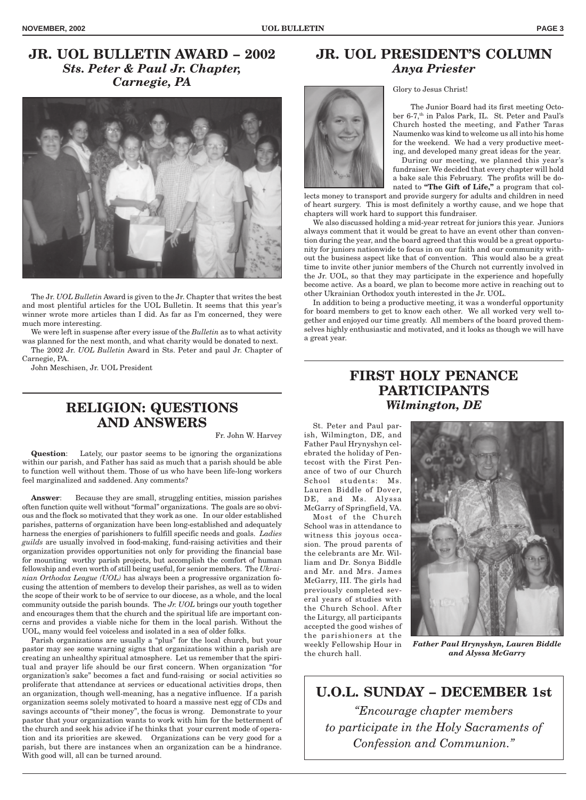## **JR. UOL BULLETIN AWARD – 2002** *Sts. Peter & Paul Jr. Chapter, Carnegie, PA*



The Jr. *UOL Bulletin* Award is given to the Jr. Chapter that writes the best and most plentiful articles for the UOL Bulletin. It seems that this year's winner wrote more articles than I did. As far as I'm concerned, they were much more interesting.

We were left in suspense after every issue of the *Bulletin* as to what activity was planned for the next month, and what charity would be donated to next.

The 2002 Jr. *UOL Bulletin* Award in Sts. Peter and paul Jr. Chapter of Carnegie, PA.

John Meschisen, Jr. UOL President

## **RELIGION: QUESTIONS AND ANSWERS**

Fr. John W. Harvey

**Question**: Lately, our pastor seems to be ignoring the organizations within our parish, and Father has said as much that a parish should be able to function well without them. Those of us who have been life-long workers feel marginalized and saddened. Any comments?

**Answer:** Because they are small, struggling entities, mission parishes often function quite well without "formal" organizations. The goals are so obvious and the flock so motivated that they work as one. In our older established parishes, patterns of organization have been long-established and adequately harness the energies of parishioners to fulfill specific needs and goals. *Ladies guilds* are usually involved in food-making, fund-raising activities and their organization provides opportunities not only for providing the financial base for mounting worthy parish projects, but accomplish the comfort of human fellowship and even worth of still being useful, for senior members. The *Ukrainian Orthodox League (UOL)* has always been a progressive organization focusing the attention of members to develop their parishes, as well as to widen the scope of their work to be of service to our diocese, as a whole, and the local community outside the parish bounds. The *Jr. UOL* brings our youth together and encourages them that the church and the spiritual life are important concerns and provides a viable niche for them in the local parish. Without the UOL, many would feel voiceless and isolated in a sea of older folks.

Parish organizations are usually a "plus" for the local church, but your pastor may see some warning signs that organizations within a parish are creating an unhealthy spiritual atmosphere. Let us remember that the spiritual and prayer life should be our first concern. When organization "for organization's sake" becomes a fact and fund-raising or social activities so proliferate that attendance at services or educational activities drops, then an organization, though well-meaning, has a negative influence. If a parish organization seems solely motivated to hoard a massive nest egg of CDs and savings accounts of "their money", the focus is wrong. Demonstrate to your pastor that your organization wants to work with him for the betterment of the church and seek his advice if he thinks that your current mode of operation and its priorities are skewed. Organizations can be very good for a parish, but there are instances when an organization can be a hindrance. With good will, all can be turned around.

#### **JR. UOL PRESIDENT'S COLUMN** *Anya Priester*

Glory to Jesus Christ!

The Junior Board had its first meeting October 6-7,<sup>th</sup> in Palos Park, IL. St. Peter and Paul's

Church hosted the meeting, and Father Taras Naumenko was kind to welcome us all into his home for the weekend. We had a very productive meeting, and developed many great ideas for the year.

During our meeting, we planned this year's fundraiser. We decided that every chapter will hold a bake sale this February. The profits will be do-

nated to **"The Gift of Life,"** a program that collects money to transport and provide surgery for adults and children in need of heart surgery. This is most definitely a worthy cause, and we hope that chapters will work hard to support this fundraiser.

We also discussed holding a mid-year retreat for juniors this year. Juniors always comment that it would be great to have an event other than convention during the year, and the board agreed that this would be a great opportunity for juniors nationwide to focus in on our faith and our community without the business aspect like that of convention. This would also be a great time to invite other junior members of the Church not currently involved in the Jr. UOL, so that they may participate in the experience and hopefully become active. As a board, we plan to become more active in reaching out to other Ukrainian Orthodox youth interested in the Jr. UOL.

In addition to being a productive meeting, it was a wonderful opportunity for board members to get to know each other. We all worked very well together and enjoyed our time greatly. All members of the board proved themselves highly enthusiastic and motivated, and it looks as though we will have a great year.

### **FIRST HOLY PENANCE PARTICIPANTS** *Wilmington, DE*

St. Peter and Paul parish, Wilmington, DE, and Father Paul Hrynyshyn celebrated the holiday of Pentecost with the First Penance of two of our Church School students: Ms. Lauren Biddle of Dover, DE, and Ms. Alyssa McGarry of Springfield, VA. Most of the Church School was in attendance to witness this joyous occasion. The proud parents of the celebrants are Mr. William and Dr. Sonya Biddle and Mr. and Mrs. James McGarry, III. The girls had previously completed several years of studies with the Church School. After the Liturgy, all participants accepted the good wishes of the parishioners at the weekly Fellowship Hour in the church hall.



*Father Paul Hrynyshyn, Lauren Biddle and Alyssa McGarry*

**U.O.L. SUNDAY – DECEMBER 1st** *"Encourage chapter members to participate in the Holy Sacraments of Confession and Communion."*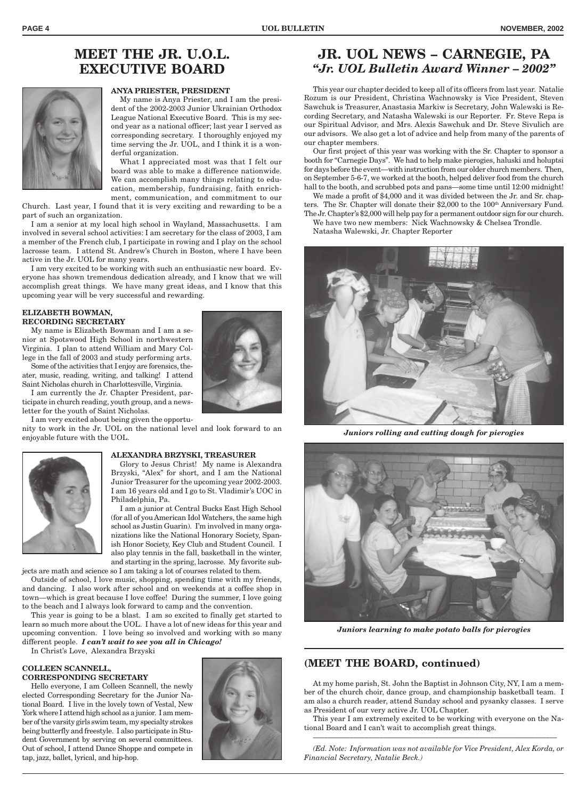# **MEET THE JR. U.O.L. EXECUTIVE BOARD**



#### **ANYA PRIESTER, PRESIDENT**

My name is Anya Priester, and I am the president of the 2002-2003 Junior Ukrainian Orthodox League National Executive Board. This is my second year as a national officer; last year I served as corresponding secretary. I thoroughly enjoyed my time serving the Jr. UOL, and I think it is a wonderful organization.

What I appreciated most was that I felt our board was able to make a difference nationwide. We can accomplish many things relating to education, membership, fundraising, faith enrichment, communication, and commitment to our

Church. Last year, I found that it is very exciting and rewarding to be a part of such an organization.

I am a senior at my local high school in Wayland, Massachusetts. I am involved in several school activities: I am secretary for the class of 2003, I am a member of the French club, I participate in rowing and I play on the school lacrosse team. I attend St. Andrew's Church in Boston, where I have been active in the Jr. UOL for many years.

I am very excited to be working with such an enthusiastic new board. Everyone has shown tremendous dedication already, and I know that we will accomplish great things. We have many great ideas, and I know that this upcoming year will be very successful and rewarding.

#### **ELIZABETH BOWMAN, RECORDING SECRETARY**

My name is Elizabeth Bowman and I am a senior at Spotswood High School in northwestern Virginia. I plan to attend William and Mary College in the fall of 2003 and study performing arts.

Some of the activities that I enjoy are forensics, theater, music, reading, writing, and talking! I attend Saint Nicholas church in Charlottesville, Virginia.

I am currently the Jr. Chapter President, participate in church reading, youth group, and a newsletter for the youth of Saint Nicholas.

I am very excited about being given the opportu-

nity to work in the Jr. UOL on the national level and look forward to an enjoyable future with the UOL.



#### **ALEXANDRA BRZYSKI, TREASURER**

Glory to Jesus Christ! My name is Alexandra Brzyski, "Alex" for short, and I am the National Junior Treasurer for the upcoming year 2002-2003. I am 16 years old and I go to St. Vladimir's UOC in Philadelphia, Pa.

I am a junior at Central Bucks East High School (for all of you American Idol Watchers, the same high school as Justin Guarin). I'm involved in many organizations like the National Honorary Society, Spanish Honor Society, Key Club and Student Council. I also play tennis in the fall, basketball in the winter, and starting in the spring, lacrosse. My favorite sub-

jects are math and science so I am taking a lot of courses related to them.

Outside of school, I love music, shopping, spending time with my friends, and dancing. I also work after school and on weekends at a coffee shop in town—which is great because I love coffee! During the summer, I love going to the beach and I always look forward to camp and the convention.

This year is going to be a blast. I am so excited to finally get started to learn so much more about the UOL. I have a lot of new ideas for this year and upcoming convention. I love being so involved and working with so many different people. *I can't wait to see you all in Chicago!*

In Christ's Love, Alexandra Brzyski

#### **COLLEEN SCANNELL, CORRESPONDING SECRETARY**

Hello everyone, I am Colleen Scannell, the newly elected Corresponding Secretary for the Junior National Board. I live in the lovely town of Vestal, New York where I attend high school as a junior. I am member of the varsity girls swim team, my specialty strokes being butterfly and freestyle. I also participate in Student Government by serving on several committees. Out of school, I attend Dance Shoppe and compete in tap, jazz, ballet, lyrical, and hip-hop.



#### **JR. UOL NEWS – CARNEGIE, PA** *"Jr. UOL Bulletin Award Winner – 2002"*

This year our chapter decided to keep all of its officers from last year. Natalie Rozum is our President, Christina Wachnowsky is Vice President, Steven Sawchuk is Treasurer, Anastasia Markiw is Secretary, John Walewski is Recording Secretary, and Natasha Walewski is our Reporter. Fr. Steve Repa is our Spiritual Advisor, and Mrs. Alexis Sawchuk and Dr. Steve Sivulich are our advisors. We also get a lot of advice and help from many of the parents of our chapter members.

Our first project of this year was working with the Sr. Chapter to sponsor a booth for "Carnegie Days". We had to help make pierogies, haluski and holuptsi for days before the event—with instruction from our older church members. Then, on September 5-6-7, we worked at the booth, helped deliver food from the church hall to the booth, and scrubbed pots and pans—some time until 12:00 midnight!

We made a profit of \$4,000 and it was divided between the Jr. and Sr. chapters. The Sr. Chapter will donate their \$2,000 to the 100<sup>th</sup> Anniversary Fund. The Jr. Chapter's \$2,000 will help pay for a permanent outdoor sign for our church.

We have two new members: Nick Wachnowsky & Chelsea Trondle.

Natasha Walewski, Jr. Chapter Reporter



*Juniors rolling and cutting dough for pierogies*



*Juniors learning to make potato balls for pierogies*

### **(MEET THE BOARD, continued)**

At my home parish, St. John the Baptist in Johnson City, NY, I am a member of the church choir, dance group, and championship basketball team. I am also a church reader, attend Sunday school and pysanky classes. I serve as President of our very active Jr. UOL Chapter.

This year I am extremely excited to be working with everyone on the National Board and I can't wait to accomplish great things.

*(Ed. Note: Information was not available for Vice President, Alex Korda, or Financial Secretary, Natalie Beck.)*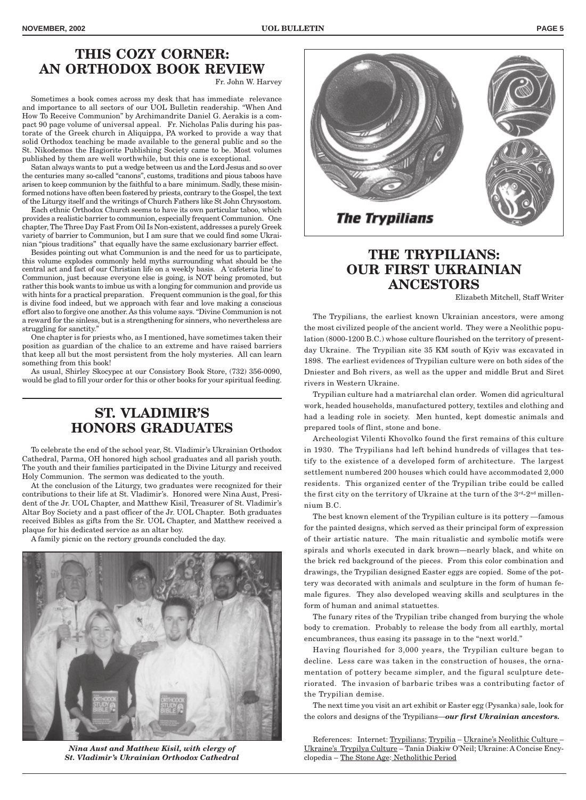# **THIS COZY CORNER: AN ORTHODOX BOOK REVIEW**

Fr. John W. Harvey

Sometimes a book comes across my desk that has immediate relevance and importance to all sectors of our UOL Bulletin readership. "When And How To Receive Communion" by Archimandrite Daniel G. Aerakis is a compact 90 page volume of universal appeal. Fr. Nicholas Palis during his pastorate of the Greek church in Aliquippa, PA worked to provide a way that solid Orthodox teaching be made available to the general public and so the St. Nikodemos the Hagiorite Publishing Society came to be. Most volumes published by them are well worthwhile, but this one is exceptional.

Satan always wants to put a wedge between us and the Lord Jesus and so over the centuries many so-called "canons", customs, traditions and pious taboos have arisen to keep communion by the faithful to a bare minimum. Sadly, these misinformed notions have often been fostered by priests, contrary to the Gospel, the text of the Liturgy itself and the writings of Church Fathers like St John Chrysostom.

Each ethnic Orthodox Church seems to have its own particular taboo, which provides a realistic barrier to communion, especially frequent Communion. One chapter, The Three Day Fast From Oil Is Non-existent, addresses a purely Greek variety of barrier to Communion, but I am sure that we could find some Ukrainian "pious traditions" that equally have the same exclusionary barrier effect.

Besides pointing out what Communion is and the need for us to participate, this volume explodes commonly held myths surrounding what should be the central act and fact of our Christian life on a weekly basis. A 'cafeteria line' to Communion, just because everyone else is going, is NOT being promoted, but rather this book wants to imbue us with a longing for communion and provide us with hints for a practical preparation. Frequent communion is the goal, for this is divine food indeed, but we approach with fear and love making a conscious effort also to forgive one another. As this volume says. "Divine Communion is not a reward for the sinless, but is a strengthening for sinners, who nevertheless are struggling for sanctity."

One chapter is for priests who, as I mentioned, have sometimes taken their position as guardian of the chalice to an extreme and have raised barriers that keep all but the most persistent from the holy mysteries. All can learn something from this book!

As usual, Shirley Skocypec at our Consistory Book Store, (732) 356-0090, would be glad to fill your order for this or other books for your spiritual feeding.

# **ST. VLADIMIR'S HONORS GRADUATES**

To celebrate the end of the school year, St. Vladimir's Ukrainian Orthodox Cathedral, Parma, OH honored high school graduates and all parish youth. The youth and their families participated in the Divine Liturgy and received Holy Communion. The sermon was dedicated to the youth.

At the conclusion of the Liturgy, two graduates were recognized for their contributions to their life at St. Vladimir's. Honored were Nina Aust, President of the Jr. UOL Chapter, and Matthew Kisil, Treasurer of St. Vladimir's Altar Boy Society and a past officer of the Jr. UOL Chapter. Both graduates received Bibles as gifts from the Sr. UOL Chapter, and Matthew received a plaque for his dedicated service as an altar boy.

A family picnic on the rectory grounds concluded the day.



*Nina Aust and Matthew Kisil, with clergy of St. Vladimir's Ukrainian Orthodox Cathedral*



## **THE TRYPILIANS: OUR FIRST UKRAINIAN ANCESTORS**

Elizabeth Mitchell, Staff Writer

The Trypilians, the earliest known Ukrainian ancestors, were among the most civilized people of the ancient world. They were a Neolithic population (8000-1200 B.C.) whose culture flourished on the territory of presentday Ukraine. The Trypilian site 35 KM south of Kyiv was excavated in 1898. The earliest evidences of Trypilian culture were on both sides of the Dniester and Boh rivers, as well as the upper and middle Brut and Siret rivers in Western Ukraine.

Trypilian culture had a matriarchal clan order. Women did agricultural work, headed households, manufactured pottery, textiles and clothing and had a leading role in society. Men hunted, kept domestic animals and prepared tools of flint, stone and bone.

Archeologist Vilenti Khovolko found the first remains of this culture in 1930. The Trypilians had left behind hundreds of villages that testify to the existence of a developed form of architecture. The largest settlement numbered 200 houses which could have accommodated 2,000 residents. This organized center of the Trypilian tribe could be called the first city on the territory of Ukraine at the turn of the  $3^{rd}$ - $2^{nd}$  millennium B.C.

The best known element of the Trypilian culture is its pottery —famous for the painted designs, which served as their principal form of expression of their artistic nature. The main ritualistic and symbolic motifs were spirals and whorls executed in dark brown—nearly black, and white on the brick red background of the pieces. From this color combination and drawings, the Trypilian designed Easter eggs are copied. Some of the pottery was decorated with animals and sculpture in the form of human female figures. They also developed weaving skills and sculptures in the form of human and animal statuettes.

The funary rites of the Trypilian tribe changed from burying the whole body to cremation. Probably to release the body from all earthly, mortal encumbrances, thus easing its passage in to the "next world."

Having flourished for 3,000 years, the Trypilian culture began to decline. Less care was taken in the construction of houses, the ornamentation of pottery became simpler, and the figural sculpture deteriorated. The invasion of barbaric tribes was a contributing factor of the Trypilian demise.

The next time you visit an art exhibit or Easter egg (Pysanka) sale, look for the colors and designs of the Trypilians—*our first Ukrainian ancestors.*

References: Internet: Trypilians; Trypilia – Ukraine's Neolithic Culture – Ukraine's Trypilya Culture – Tania Diakiw O'Neil; Ukraine: A Concise Encyclopedia – The Stone Age: Netholithic Period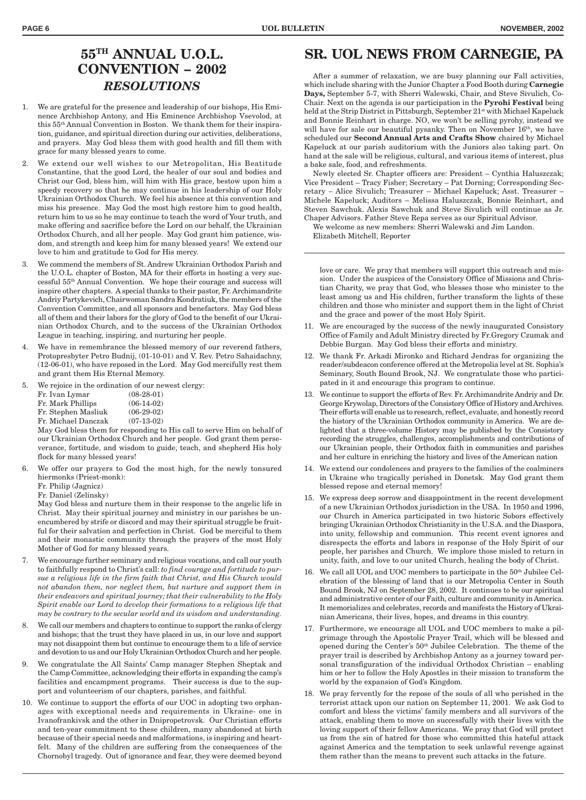## **55TH ANNUAL U.O.L. CONVENTION – 2002** *RESOLUTIONS*

- 1. We are grateful for the presence and leadership of our bishops, His Eminence Archbishop Antony, and His Eminence Archbishop Vsevolod, at this 55th Annual Convention in Boston. We thank them for their inspiration, guidance, and spiritual direction during our activities, deliberations, and prayers. May God bless them with good health and fill them with grace for many blessed years to come.
- We extend our well wishes to our Metropolitan, His Beatitude Constantine, that the good Lord, the healer of our soul and bodies and Christ our God, bless him, will him with His grace, bestow upon him a speedy recovery so that he may continue in his leadership of our Holy Ukrainian Orthodox Church. We feel his absence at this convention and miss his presence. May God the most high restore him to good health, return him to us so he may continue to teach the word of Your truth, and make offering and sacrifice before the Lord on our behalf, the Ukrainian Orthodox Church, and all her people. May God grant him patience, wisdom, and strength and keep him for many blessed years! We extend our love to him and gratitude to God for His mercy.
- We commend the members of St. Andrew Ukrainian Orthodox Parish and the U.O.L. chapter of Boston, MA for their efforts in hosting a very successful 55th Annual Convention. We hope their courage and success will inspire other chapters. A special thanks to their pastor, Fr. Archimandrite Andriy Partykevich, Chairwoman Sandra Kondratiuk, the members of the Convention Committee, and all sponsors and benefactors. May God bless all of them and their labors for the glory of God to the benefit of our Ukrainian Orthodox Church, and to the success of the Ukrainian Orthodox League in teaching, inspiring, and nurturing her people.
- 4. We have in remembrance the blessed memory of our reverend fathers, Protopresbyter Petro Budnij, (01-10-01) and V. Rev. Petro Sahaidachny, (12-06-01), who have reposed in the Lord. May God mercifully rest them and grant them His Eternal Memory.
- 5. We rejoice in the ordination of our newest clergy:

| Fr. Ivan Lymar      | $(08-28-01)$ |
|---------------------|--------------|
| Fr. Mark Phillips   | $(06-14-02)$ |
| Fr. Stephen Masliuk | $(06-29-02)$ |
| Fr. Michael Danczak | $(07-13-02)$ |

May God bless them for responding to His call to serve Him on behalf of our Ukrainian Orthodox Church and her people. God grant them perseverance, fortitude, and wisdom to guide, teach, and shepherd His holy flock for many blessed years!

- 6. We offer our prayers to God the most high, for the newly tonsured hiermonks (Priest-monk):
	- Fr. Philip (Jagnicz)
	- Fr. Daniel (Zelinsky)

May God bless and nurture them in their response to the angelic life in Christ. May their spiritual journey and ministry in our parishes be unencumbered by strife or discord and may their spiritual struggle be fruitful for their salvation and perfection in Christ. God be merciful to them and their monastic community through the prayers of the most Holy Mother of God for many blessed years.

- 7. We encourage further seminary and religious vocations, and call our youth to faithfully respond to Christ's call: *to find courage and fortitude to pursue a religious life in the firm faith that Christ, and His Church would not abandon them, nor neglect them, but nurture and support them in their endeavors and spiritual journey; that their vulnerability to the Holy Spirit enable our Lord to develop their formations to a religious life that may be contrary to the secular world and its wisdom and understanding.*
- 8. We call our members and chapters to continue to support the ranks of clergy and bishops; that the trust they have placed in us, in our love and support may not disappoint them but continue to encourage them to a life of service and devotion to us and our Holy Ukrainian Orthodox Church and her people.
- We congratulate the All Saints' Camp manager Stephen Sheptak and the Camp Committee, acknowledging their efforts in expanding the camp's facilities and encampment programs. Their success is due to the support and volunteerism of our chapters, parishes, and faithful.
- 10. We continue to support the efforts of our UOC in adopting two orphanages with exceptional needs and requirements in Ukraine- one in Ivanofrankivsk and the other in Dnipropetrovsk. Our Christian efforts and ten-year commitment to these children, many abandoned at birth because of their special needs and malformations, is inspiring and heartfelt. Many of the children are suffering from the consequences of the Chornobyl tragedy. Out of ignorance and fear, they were deemed beyond

## **SR. UOL NEWS FROM CARNEGIE, PA**

After a summer of relaxation, we are busy planning our Fall activities, which include sharing with the Junior Chapter a Food Booth during **Carnegie Days,** September 5-7, with Sherri Walewski, Chair, and Steve Sivulich, Co-Chair. Next on the agenda is our participation in the **Pyrohi Festival** being held at the Strip District in Pittsburgh, September 21st with Michael Kapeluck and Bonnie Reinhart in charge. NO, we won't be selling pyrohy, instead we will have for sale our beautiful pysanky. Then on November 16<sup>th</sup>, we have scheduled our **Second Annual Arts and Crafts Show** chaired by Michael Kapeluck at our parish auditorium with the Juniors also taking part. On hand at the sale will be religious, cultural, and various items of interest, plus a bake sale, food, and refreshments.

Newly elected Sr. Chapter officers are: President – Cynthia Haluszczak; Vice President – Tracy Fisher; Secretary – Pat Dorning; Corresponding Secretary – Alice Sivulich; Treasurer – Michael Kapeluck; Asst. Treasurer – Michele Kapeluck; Auditors – Melissa Haluszczak, Bonnie Reinhart, and Steven Sawchuk. Alexis Sawchuk and Steve Sivulich will continue as Jr. Chaper Advisors. Father Steve Repa serves as our Spiritual Advisor.

We welcome as new members: Sherri Walewski and Jim Landon. Elizabeth Mitchell, Reporter

love or care. We pray that members will support this outreach and mission. Under the auspices of the Consistory Office of Missions and Christian Charity, we pray that God, who blesses those who minister to the least among us and His children, further transform the lights of these children and those who minister and support them in the light of Christ and the grace and power of the most Holy Spirit.

- 11. We are encouraged by the success of the newly inaugurated Consistory Office of Family and Adult Ministry directed by Fr.Gregory Czumak and Debbie Burgan. May God bless their efforts and ministry.
- 12. We thank Fr. Arkadi Mironko and Richard Jendras for organizing the reader/subdeacon conference offered at the Metropolia level at St. Sophia's Seminary, South Bound Brook, NJ. We congratulate those who participated in it and encourage this program to continue.
- 13. We continue to support the efforts of Rev. Fr. Archimandrite Andriy and Dr. George Krywolap, Directors of the Consistory Office of History and Archives. Their efforts will enable us to research, reflect, evaluate, and honestly record the history of the Ukrainian Orthodox community in America. We are delighted that a three-volume History may be published by the Consistory recording the struggles, challenges, accomplishments and contributions of our Ukrainian people, their Orthodox faith in communities and parishes and her culture in enriching the history and lives of the American nation
- 14. We extend our condolences and prayers to the families of the coalminers in Ukraine who tragically perished in Donetsk. May God grant them blessed repose and eternal memory!
- 15. We express deep sorrow and disappointment in the recent development of a new Ukrainian Orthodox jurisdiction in the USA. In 1950 and 1996, our Church in America participated in two historic Sobors effectively bringing Ukrainian Orthodox Christianity in the U.S.A. and the Diaspora, into unity, fellowship and communion. This recent event ignores and disrespects the efforts and labors in response of the Holy Spirit of our people, her parishes and Church. We implore those misled to return in unity, faith, and love to our united Church, healing the body of Christ.
- 16. We call all UOL and UOC members to participate in the 50<sup>th</sup> Jubilee Celebration of the blessing of land that is our Metropolia Center in South Bound Brook, NJ on September 28, 2002. It continues to be our spiritual and administrative center of our Faith, culture and community in America. It memorializes and celebrates, records and manifests the History of Ukrainian Americans, their lives, hopes, and dreams in this country.
- 17. Furthermore, we encourage all UOL and UOC members to make a pilgrimage through the Apostolic Prayer Trail, which will be blessed and opened during the Center's 50th Jubilee Celebration. The theme of the prayer trail is described by Archbishop Antony as a journey toward personal transfiguration of the individual Orthodox Christian – enabling him or her to follow the Holy Apostles in their mission to transform the world by the expansion of God's Kingdom.
- 18. We pray fervently for the repose of the souls of all who perished in the terrorist attack upon our nation on September 11, 2001. We ask God to comfort and bless the victims' family members and all survivors of the attack, enabling them to move on successfully with their lives with the loving support of their fellow Americans. We pray that God will protect us from the sin of hatred for those who committed this hateful attack against America and the temptation to seek unlawful revenge against them rather than the means to prevent such attacks in the future.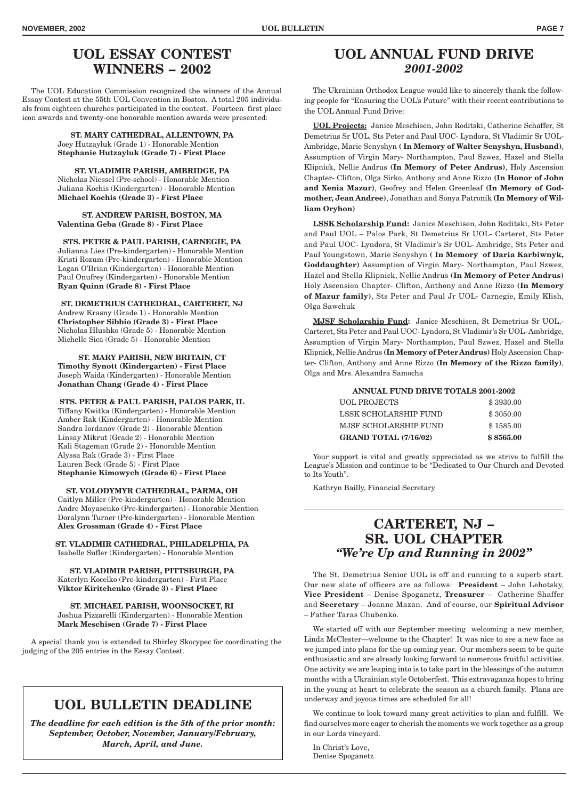# **UOL ESSAY CONTEST WINNERS – 2002**

The UOL Education Commission recognized the winners of the Annual Essay Contest at the 55th UOL Convention in Boston. A total 205 individuals from eighteen churches participated in the contest. Fourteen first place icon awards and twenty-one honorable mention awards were presented:

> **ST. MARY CATHEDRAL, ALLENTOWN, PA** Joey Hutzayluk (Grade 1) - Honorable Mention **Stephanie Hutzayluk (Grade 7) - First Place**

> **ST. VLADIMIR PARISH, AMBRIDGE, PA** Nicholas Niessel (Pre-school) - Honorable Mention Juliana Kochis (Kindergarten) - Honorable Mention **Michael Kochis (Grade 3) - First Place**

**ST. ANDREW PARISH, BOSTON, MA Valentina Geba (Grade 8) - First Place**

**STS. PETER & PAUL PARISH, CARNEGIE, PA** Julianna Lies (Pre-kindergarten) - Honorable Mention Kristi Rozum (Pre-kindergarten) - Honorable Mention Logan O'Brian (Kindergarten) - Honorable Mention Paul Onufrey (Kindergarten) - Honorable Mention **Ryan Quinn (Grade 8) - First Place**

**ST. DEMETRIUS CATHEDRAL, CARTERET, NJ** Andrew Krasny (Grade 1) - Honorable Mention **Christopher Sibbio (Grade 3) - First Place** Nicholas Hlushko (Grade 5) - Honorable Mention Michelle Sica (Grade 5) - Honorable Mention

**ST. MARY PARISH, NEW BRITAIN, CT Timothy Synott (Kindergarten) - First Place** Joseph Waida (Kindergarten) - Honorable Mention **Jonathan Chang (Grade 4) - First Place**

**STS. PETER & PAUL PARISH, PALOS PARK, IL** Tiffany Kwitka (Kindergarten) - Honorable Mention Amber Rak (Kindergarten) - Honorable Mention Sandra Iordanov (Grade 2) - Honorable Mention Linsay Mikrut (Grade 2) - Honorable Mention Kali Stageman (Grade 2) - Honorable Mention Alyssa Rak (Grade 3) - First Place Lauren Beck (Grade 5) - First Place **Stephanie Kimowych (Grade 6) - First Place**

**ST. VOLODYMYR CATHEDRAL, PARMA, OH**

Caitlyn Miller (Pre-kindergarten) - Honorable Mention Andre Moyasenko (Pre-kindergarten) - Honorable Mention Doralynn Turner (Pre-kindergarten) - Honorable Mention **Alex Grossman (Grade 4) - First Place**

**ST. VLADIMIR CATHEDRAL, PHILADELPHIA, PA** Isabelle Sufler (Kindergarten) - Honorable Mention

**ST. VLADIMIR PARISH, PITTSBURGH, PA** Katerlyn Kocelko (Pre-kindergarten) - First Place **Viktor Kiritchenko (Grade 3) - First Place**

**ST. MICHAEL PARISH, WOONSOCKET, RI** Joshua Pizzarelli (Kindergarten) - Honorable Mention **Mark Meschisen (Grade 7) - First Place**

A special thank you is extended to Shirley Skocypec for coordinating the judging of the 205 entries in the Essay Contest.

## **UOL BULLETIN DEADLINE**

*The deadline for each edition is the 5th of the prior month: September, October, November, January/February, March, April, and June.*

## **UOL ANNUAL FUND DRIVE** *2001-2002*

The Ukrainian Orthodox League would like to sincerely thank the following people for "Ensuring the UOL's Future" with their recent contributions to the UOL Annual Fund Drive:

**UOL Projects:** Janice Meschisen, John Roditski, Catherine Schaffer, St Demetrius Sr UOL, Sts Peter and Paul UOC- Lyndora, St Vladimir Sr UOL-Ambridge, Marie Senyshyn **( In Memory of Walter Senyshyn, Husband)**, Assumption of Virgin Mary- Northampton, Paul Szwez, Hazel and Stella Klipnick, Nellie Andrus **(In Memory of Peter Andrus)**, Holy Ascension Chapter- Clifton, Olga Sirko, Anthony and Anne Rizzo **(In Honor of John and Xenia Mazur)**, Geofrey and Helen Greenleaf **(In Memory of Godmother, Jean Andree)**, Jonathan and Sonya Patronik **(In Memory of William Oryhon)**

**LSSK Scholarship Fund:** Janice Meschisen, John Roditski, Sts Peter and Paul UOL – Palos Park, St Demetrius Sr UOL- Carteret, Sts Peter and Paul UOC- Lyndora, St Vladimir's Sr UOL- Ambridge, Sts Peter and Paul Youngstown, Marie Senyshyn **( In Memory of Daria Karbiwnyk, Goddaughter)** Assumption of Virgin Mary- Northampton, Paul Szwez, Hazel and Stella Klipnick, Nellie Andrus **(In Memory of Peter Andrus)** Holy Ascension Chapter- Clifton, Anthony and Anne Rizzo **(In Memory of Mazur family)**, Sts Peter and Paul Jr UOL- Carnegie, Emily Klish, Olga Sawchuk

**MJSF Scholarship Fund:** Janice Meschisen, St Demetrius Sr UOL,- Carteret, Sts Peter and Paul UOC- Lyndora, St Vladimir's Sr UOL- Ambridge, Assumption of Virgin Mary- Northampton, Paul Szwez, Hazel and Stella Klipnick, Nellie Andrus **(In Memory of Peter Andrus)** Holy Ascension Chapter- Clifton, Anthony and Anne Rizzo **(In Memory of the Rizzo family)**, Olga and Mrs. Alexandra Samocha

| ANNUAL FUND DRIVE TOTALS 2001-2002 |                              |           |  |  |
|------------------------------------|------------------------------|-----------|--|--|
|                                    | <b>UOL PROJECTS</b>          | \$3930.00 |  |  |
|                                    | <b>LSSK SCHOLARSHIP FUND</b> | \$3050.00 |  |  |
|                                    | <b>MJSF SCHOLARSHIP FUND</b> | \$1585.00 |  |  |
|                                    | <b>GRAND TOTAL (7/16/02)</b> | \$8565.00 |  |  |

Your support is vital and greatly appreciated as we strive to fulfill the League's Mission and continue to be "Dedicated to Our Church and Devoted to Its Youth".

Kathryn Bailly, Financial Secretary

## **CARTERET, NJ – SR. UOL CHAPTER** *"We're Up and Running in 2002"*

The St. Demetrius Senior UOL is off and running to a superb start. Our new slate of officers are as follows: **President** – John Lehotsky, **Vice President** – Denise Spoganetz, **Treasurer** – Catherine Shaffer and **Secretary** – Joanne Mazan. And of course, our **Spiritual Advisor** – Father Taras Chubenko.

We started off with our September meeting welcoming a new member, Linda McClester—welcome to the Chapter! It was nice to see a new face as we jumped into plans for the up coming year. Our members seem to be quite enthusiastic and are already looking forward to numerous fruitful activities. One activity we are leaping into is to take part in the blessings of the autumn months with a Ukrainian style Octoberfest. This extravaganza hopes to bring in the young at heart to celebrate the season as a church family. Plans are underway and joyous times are scheduled for all!

We continue to look toward many great activities to plan and fulfill. We find ourselves more eager to cherish the moments we work together as a group in our Lords vineyard.

In Christ's Love, Denise Spoganetz